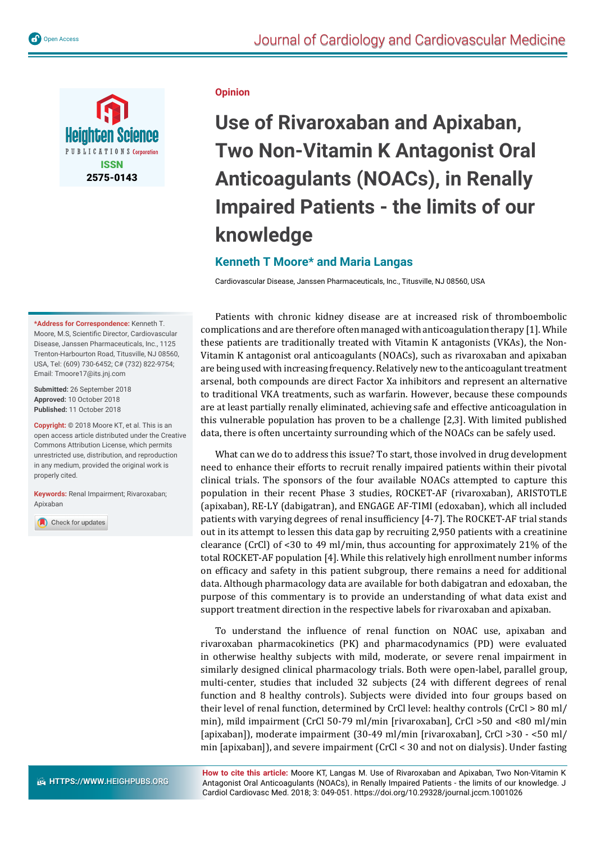

## **\*Address for Correspondence:** Kenneth T. Moore, M.S, Scientific Director, Cardiovascular Disease, Janssen Pharmaceuticals, Inc., 1125 Trenton-Harbourton Road, Titusville, NJ 08560, USA, Tel: (609) 730-6452; C# (732) 822-9754;

**Submitted:** 26 September 2018 **Approved:** 10 October 2018 **Published:** 11 October 2018

Email: Tmoore17@its.jnj.com

**Copyright:** © 2018 Moore KT, et al. This is an open access article distributed under the Creative Commons Attribution License, which permits unrestricted use, distribution, and reproduction in any medium, provided the original work is properly cited.

**Keywords:** Renal Impairment; Rivaroxaban; Apixaban

Check for updates

## **Opinion**

**Use of Rivaroxaban and Apixaban, Two Non-Vitamin K Antagonist Oral Anticoagulants (NOACs), in Renally Impaired Patients - the limits of our knowledge** 

## **Kenneth T Moore\* and Maria Langas**

Cardiovascular Disease, Janssen Pharmaceuticals, Inc., Titusville, NJ 08560, USA

Patients with chronic kidney disease are at increased risk of thromboembolic complications and are therefore often managed with anticoagulation therapy [1]. While these patients are traditionally treated with Vitamin K antagonists (VKAs), the Non-Vitamin K antagonist oral anticoagulants (NOACs), such as rivaroxaban and apixaban are being used with increasing frequency. Relatively new to the anticoagulant treatment arsenal, both compounds are direct Factor Xa inhibitors and represent an alternative to traditional VKA treatments, such as warfarin. However, because these compounds are at least partially renally eliminated, achieving safe and effective anticoagulation in this vulnerable population has proven to be a challenge [2,3]. With limited published data, there is often uncertainty surrounding which of the NOACs can be safely used.

What can we do to address this issue? To start, those involved in drug development need to enhance their efforts to recruit renally impaired patients within their pivotal clinical trials. The sponsors of the four available NOACs attempted to capture this population in their recent Phase 3 studies, ROCKET-AF (rivaroxaban), ARISTOTLE (apixaban), RE-LY (dabigatran), and ENGAGE AF-TIMI (edoxaban), which all included patients with varying degrees of renal insufficiency  $[4-7]$ . The ROCKET-AF trial stands out in its attempt to lessen this data gap by recruiting 2,950 patients with a creatinine clearance (CrCl) of <30 to 49 ml/min, thus accounting for approximately 21% of the total ROCKET-AF population [4]. While this relatively high enrollment number informs on efficacy and safety in this patient subgroup, there remains a need for additional data. Although pharmacology data are available for both dabigatran and edoxaban, the purpose of this commentary is to provide an understanding of what data exist and support treatment direction in the respective labels for rivaroxaban and apixaban.

To understand the influence of renal function on NOAC use, apixaban and rivaroxaban pharmacokinetics (PK) and pharmacodynamics (PD) were evaluated in otherwise healthy subjects with mild, moderate, or severe renal impairment in similarly designed clinical pharmacology trials. Both were open-label, parallel group, multi-center, studies that included 32 subjects (24 with different degrees of renal function and 8 healthy controls). Subjects were divided into four groups based on their level of renal function, determined by CrCl level: healthy controls (CrCl > 80 ml/ min), mild impairment (CrCl 50-79 ml/min [rivaroxaban], CrCl >50 and <80 ml/min [apixaban]), moderate impairment (30-49 ml/min [rivaroxaban], CrCl >30 - <50 ml/ min [apixaban]), and severe impairment (CrCl < 30 and not on dialysis). Under fasting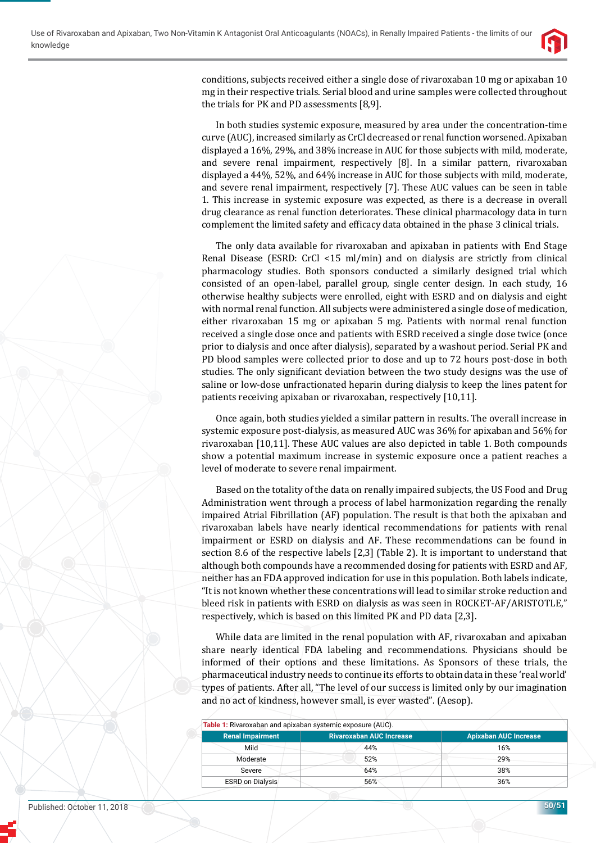

conditions, subjects received either a single dose of rivaroxaban 10 mg or apixaban 10 mg in their respective trials. Serial blood and urine samples were collected throughout the trials for PK and PD assessments [8,9].

In both studies systemic exposure, measured by area under the concentration-time curve (AUC), increased similarly as CrCl decreased or renal function worsened. Apixaban displayed a 16%, 29%, and 38% increase in AUC for those subjects with mild, moderate, and severe renal impairment, respectively [8]. In a similar pattern, rivaroxaban displayed a 44%, 52%, and 64% increase in AUC for those subjects with mild, moderate, and severe renal impairment, respectively [7]. These AUC values can be seen in table 1. This increase in systemic exposure was expected, as there is a decrease in overall drug clearance as renal function deteriorates. These clinical pharmacology data in turn complement the limited safety and efficacy data obtained in the phase 3 clinical trials.

The only data available for rivaroxaban and apixaban in patients with End Stage Renal Disease (ESRD: CrCl <15 ml/min) and on dialysis are strictly from clinical pharmacology studies. Both sponsors conducted a similarly designed trial which consisted of an open-label, parallel group, single center design. In each study, 16 otherwise healthy subjects were enrolled, eight with ESRD and on dialysis and eight with normal renal function. All subjects were administered a single dose of medication, either rivaroxaban 15 mg or apixaban 5 mg. Patients with normal renal function received a single dose once and patients with ESRD received a single dose twice (once prior to dialysis and once after dialysis), separated by a washout period. Serial PK and PD blood samples were collected prior to dose and up to 72 hours post-dose in both studies. The only significant deviation between the two study designs was the use of saline or low-dose unfractionated heparin during dialysis to keep the lines patent for patients receiving apixaban or rivaroxaban, respectively [10,11].

Once again, both studies yielded a similar pattern in results. The overall increase in systemic exposure post-dialysis, as measured AUC was 36% for apixaban and 56% for rivaroxaban [10,11]. These AUC values are also depicted in table 1. Both compounds show a potential maximum increase in systemic exposure once a patient reaches a level of moderate to severe renal impairment.

Based on the totality of the data on renally impaired subjects, the US Food and Drug Administration went through a process of label harmonization regarding the renally impaired Atrial Fibrillation (AF) population. The result is that both the apixaban and rivaroxaban labels have nearly identical recommendations for patients with renal impairment or ESRD on dialysis and AF. These recommendations can be found in section 8.6 of the respective labels [2,3] (Table 2). It is important to understand that although both compounds have a recommended dosing for patients with ESRD and AF, neither has an FDA approved indication for use in this population. Both labels indicate, "It is not known whether these concentrations will lead to similar stroke reduction and bleed risk in patients with ESRD on dialysis as was seen in ROCKET-AF/ARISTOTLE," respectively, which is based on this limited PK and PD data [2,3].

While data are limited in the renal population with AF, rivaroxaban and apixaban share nearly identical FDA labeling and recommendations. Physicians should be informed of their options and these limitations. As Sponsors of these trials, the pharmaceutical industry needs to continue its efforts to obtain data in these 'real world' types of patients. After all, "The level of our success is limited only by our imagination and no act of kindness, however small, is ever wasted". (Aesop).

| Table 1: Rivaroxaban and apixaban systemic exposure (AUC). |                                 |                              |
|------------------------------------------------------------|---------------------------------|------------------------------|
| <b>Renal Impairment</b>                                    | <b>Rivaroxaban AUC Increase</b> | <b>Apixaban AUC Increase</b> |
| Mild                                                       | 44%                             | 16%                          |
| Moderate                                                   | 52%                             | 29%                          |
| Severe                                                     | 64%                             | 38%                          |
| <b>ESRD on Dialysis</b>                                    | 56%                             | 36%                          |